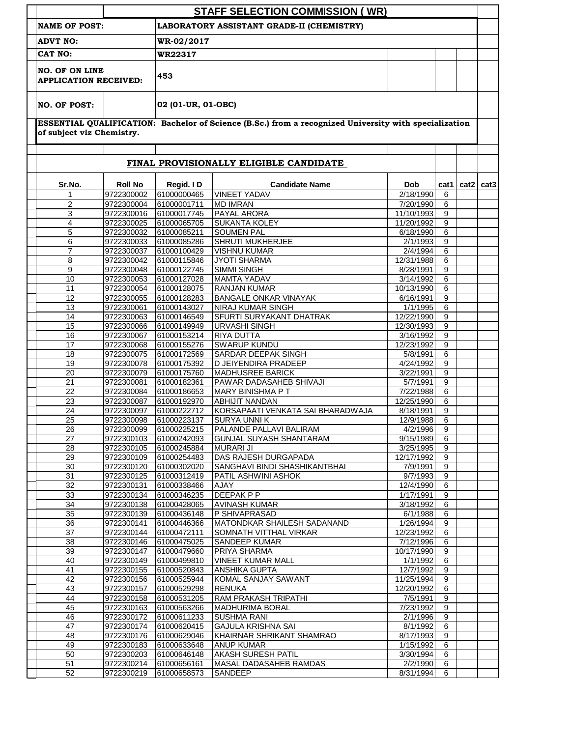|                                                       |                          |                            | <b>STAFF SELECTION COMMISSION (WR)</b>                                                                |                         |                     |      |                  |  |
|-------------------------------------------------------|--------------------------|----------------------------|-------------------------------------------------------------------------------------------------------|-------------------------|---------------------|------|------------------|--|
| <b>NAME OF POST:</b>                                  |                          |                            | LABORATORY ASSISTANT GRADE-II (CHEMISTRY)                                                             |                         |                     |      |                  |  |
| <b>ADVT NO:</b>                                       |                          | WR-02/2017                 |                                                                                                       |                         |                     |      |                  |  |
| CAT NO:                                               |                          | WR22317                    |                                                                                                       |                         |                     |      |                  |  |
| <b>NO. OF ON LINE</b><br><b>APPLICATION RECEIVED:</b> |                          | 453                        |                                                                                                       |                         |                     |      |                  |  |
| <b>NO. OF POST:</b>                                   |                          | 02 (01-UR, 01-OBC)         |                                                                                                       |                         |                     |      |                  |  |
|                                                       |                          |                            | ESSENTIAL QUALIFICATION: Bachelor of Science (B.Sc.) from a recognized University with specialization |                         |                     |      |                  |  |
| of subject viz Chemistry.                             |                          |                            |                                                                                                       |                         |                     |      |                  |  |
|                                                       |                          |                            | FINAL PROVISIONALLY ELIGIBLE CANDIDATE                                                                |                         |                     |      |                  |  |
| Sr.No.                                                | <b>Roll No</b>           | Regid. ID                  | <b>Candidate Name</b>                                                                                 | <b>Dob</b>              | cat1                | cat2 | cat <sub>3</sub> |  |
| 1                                                     | 9722300002               | 61000000465                | <b>VINEET YADAV</b>                                                                                   | 2/18/1990               | 6                   |      |                  |  |
| $\overline{2}$                                        | 9722300004               | 61000001711                | <b>MD IMRAN</b>                                                                                       | 7/20/1990               | 6                   |      |                  |  |
| 3                                                     | 9722300016               | 61000017745                | PAYAL ARORA                                                                                           | 11/10/1993              | 9                   |      |                  |  |
| 4                                                     | 9722300025               | 61000065705                | SUKANTA KOLEY                                                                                         | 11/20/1992              | 9                   |      |                  |  |
| 5                                                     | 9722300032               | 61000085211                | <b>SOUMEN PAL</b>                                                                                     | 6/18/1990               | 6                   |      |                  |  |
| 6<br>$\overline{7}$                                   | 9722300033<br>9722300037 | 61000085286<br>61000100429 | SHRUTI MUKHERJEE<br><b>VISHNU KUMAR</b>                                                               | 2/1/1993<br>2/4/1994    | 9<br>6              |      |                  |  |
| 8                                                     | 9722300042               | 61000115846                | <b>JYOTI SHARMA</b>                                                                                   | 12/31/1988              | 6                   |      |                  |  |
| 9                                                     | 9722300048               | 61000122745                | <b>SIMMI SINGH</b>                                                                                    | 8/28/1991               | 9                   |      |                  |  |
| 10                                                    | 9722300053               | 61000127028                | <b>MAMTA YADAV</b>                                                                                    | 3/14/1992               | 6                   |      |                  |  |
| 11                                                    | 9722300054               | 61000128075                | <b>RANJAN KUMAR</b>                                                                                   | 10/13/1990              | 6                   |      |                  |  |
| 12                                                    | 9722300055               | 61000128283                | <b>BANGALE ONKAR VINAYAK</b>                                                                          | 6/16/1991               | 9                   |      |                  |  |
| 13                                                    | 9722300061               | 61000143027                | NIRAJ KUMAR SINGH                                                                                     | 1/1/1995                | 6                   |      |                  |  |
| 14                                                    | 9722300063               | 61000146549                | SFURTI SURYAKANT DHATRAK                                                                              | 12/22/1990              | 9                   |      |                  |  |
| 15                                                    | 9722300066               | 61000149949                | <b>URVASHI SINGH</b>                                                                                  | 12/30/1993              | 9                   |      |                  |  |
| 16<br>17                                              | 9722300067               | 61000153214                | <b>RIYA DUTTA</b>                                                                                     | 3/16/1992               | 9<br>9              |      |                  |  |
| 18                                                    | 9722300068<br>9722300075 | 61000155276<br>61000172569 | <b>SWARUP KUNDU</b><br>SARDAR DEEPAK SINGH                                                            | 12/23/1992<br>5/8/1991  | 6                   |      |                  |  |
| 19                                                    | 9722300078               | 61000175392                | D JEIYENDIRA PRADEEP                                                                                  | 4/24/1992               | $\boldsymbol{9}$    |      |                  |  |
| 20                                                    | 9722300079               | 61000175760                | MADHUSREE BARICK                                                                                      | 3/22/1991               | 9                   |      |                  |  |
| 21                                                    | 9722300081               | 61000182361                | PAWAR DADASAHEB SHIVAJI                                                                               | 5/7/1991                | 9                   |      |                  |  |
| 22                                                    | 9722300084               | 61000186653                | <b>MARY BINISHMA PT</b>                                                                               | 7/22/1988               | 6                   |      |                  |  |
| 23                                                    | 9722300087               | 61000192970                | <b>ABHIJIT NANDAN</b>                                                                                 | 12/25/1990              | 6                   |      |                  |  |
| 24                                                    | 9722300097               | 61000222712                | KORSAPAATI VENKATA SAI BHARADWAJA                                                                     | 8/18/1991               | 9                   |      |                  |  |
| 25                                                    | 9722300098               | 61000223137                | <b>SURYA UNNI K</b>                                                                                   | 12/9/1988               | 6                   |      |                  |  |
| 26                                                    | 9722300099               | 61000225215                | PALANDE PALLAVI BALIRAM                                                                               | 4/2/1996                | 9                   |      |                  |  |
| 27                                                    | 9722300103               | 61000242093                | <b>GUNJAL SUYASH SHANTARAM</b>                                                                        | 9/15/1989               | 6                   |      |                  |  |
| 28                                                    | 9722300105               | 61000245884                | <b>MURARI JI</b>                                                                                      | 3/25/1995               | 9                   |      |                  |  |
| 29                                                    | 9722300109               | 61000254483                | DAS RAJESH DURGAPADA                                                                                  | 12/17/1992              | 9                   |      |                  |  |
| 30<br>31                                              | 9722300120<br>9722300125 | 61000302020<br>61000312419 | SANGHAVI BINDI SHASHIKANTBHAI<br>PATIL ASHWINI ASHOK                                                  | 7/9/1991<br>9/7/1993    | 9<br>9              |      |                  |  |
| 32                                                    | 9722300131               | 61000338466                | <b>AJAY</b>                                                                                           | 12/4/1990               | $6\overline{6}$     |      |                  |  |
| 33                                                    | 9722300134               | 61000346235                | <b>DEEPAK P P</b>                                                                                     | 1/17/1991               | $\boldsymbol{9}$    |      |                  |  |
| 34                                                    | 9722300138               | 61000428065                | <b>AVINASH KUMAR</b>                                                                                  | 3/18/1992               | 6                   |      |                  |  |
| 35                                                    | 9722300139               | 61000436148                | P SHIVAPRASAD                                                                                         | 6/1/1988                | 6                   |      |                  |  |
| 36                                                    | 9722300141               | 61000446366                | MATONDKAR SHAILESH SADANAND                                                                           | 1/26/1994               | 9                   |      |                  |  |
| 37                                                    | 9722300144               | 61000472111                | SOMNATH VITTHAL VIRKAR                                                                                | 12/23/1992              | 6                   |      |                  |  |
| 38                                                    | 9722300146               | 61000475025                | SANDEEP KUMAR                                                                                         | 7/12/1996               | 6                   |      |                  |  |
| 39                                                    | 9722300147               | 61000479660                | PRIYA SHARMA                                                                                          | 10/17/1990              | $\overline{9}$      |      |                  |  |
| 40                                                    | 9722300149               | 61000499810                | <b>VINEET KUMAR MALL</b>                                                                              | 1/1/1992                | 6                   |      |                  |  |
| 41<br>42                                              | 9722300155<br>9722300156 | 61000520843<br>61000525944 | ANSHIKA GUPTA<br>KOMAL SANJAY SAWANT                                                                  | 12/7/1992<br>11/25/1994 | $\overline{9}$<br>9 |      |                  |  |
| 43                                                    | 9722300157               | 61000529298                | <b>RENUKA</b>                                                                                         | 12/20/1992              | 6                   |      |                  |  |
| 44                                                    | 9722300158               | 61000531205                | RAM PRAKASH TRIPATHI                                                                                  | 7/5/1991                | 9                   |      |                  |  |
| 45                                                    | 9722300163               | 61000563266                | <b>MADHURIMA BORAL</b>                                                                                | 7/23/1992               | $\overline{9}$      |      |                  |  |
| 46                                                    | 9722300172               | 61000611233                | <b>SUSHMA RANI</b>                                                                                    | 2/1/1996                | 9                   |      |                  |  |
| 47                                                    | 9722300174               | 61000620415                | <b>GAJULA KRISHNA SAI</b>                                                                             | 8/1/1992                | 6                   |      |                  |  |
| 48                                                    | 9722300176               | 61000629046                | KHAIRNAR SHRIKANT SHAMRAO                                                                             | 8/17/1993               | $\overline{9}$      |      |                  |  |
| 49                                                    | 9722300183               | 61000633648                | <b>ANUP KUMAR</b>                                                                                     | 1/15/1992               | $\,6\,$             |      |                  |  |
| 50                                                    | 9722300203               | 61000646148                | AKASH SURESH PATIL                                                                                    | 3/30/1994               | 6                   |      |                  |  |
| 51                                                    | 9722300214               | 61000656161                | MASAL DADASAHEB RAMDAS                                                                                | 2/2/1990                | 6                   |      |                  |  |
| 52                                                    | 9722300219               | 61000658573                | SANDEEP                                                                                               | 8/31/1994               | 6                   |      |                  |  |